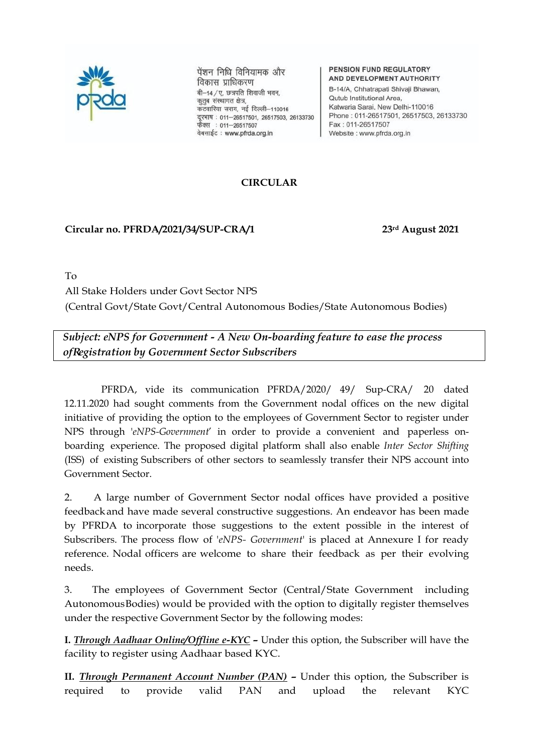

पेंशन निधि विनियामक और विकास प्राधिकरण बी-14 / ए. छत्रपति शिवाजी भवन, कुतुब संस्थागत क्षेत्र, कटवारिया सराय, नई दिल्ली-110016 दूरभाष: 011-26517501, 26517503, 26133730 फैक्स : 011-26517507 वेबसाईट: www.pfrda.org.in

#### PENSION FUND REGULATORY AND DEVELOPMENT AUTHORITY

B-14/A, Chhatrapati Shivaji Bhawan, Qutub Institutional Area, Katwaria Sarai, New Delhi-110016 Phone: 011-26517501, 26517503, 26133730 Fax: 011-26517507 Website : www.pfrda.org.in

# **CIRCULAR**

# **Circular no. PFRDA/2021/34/SUP-CRA/1 23rd August 2021**

To

All Stake Holders under Govt Sector NPS

(Central Govt/State Govt/Central Autonomous Bodies/State Autonomous Bodies)

*Subject: eNPS for Government - A New On-boarding feature to ease the process ofRegistration by Government Sector Subscribers*

PFRDA, vide its communication PFRDA/2020/ 49/ Sup-CRA/ 20 dated 12.11.2020 had sought comments from the Government nodal offices on the new digital initiative of providing the option to the employees of Government Sector to register under NPS through '*eNPS-Government*' in order to provide a convenient and paperless onboarding experience. The proposed digital platform shall also enable *Inter Sector Shifting* (ISS) of existing Subscribers of other sectors to seamlessly transfer their NPS account into Government Sector.

2. A large number of Government Sector nodal offices have provided a positive feedbackand have made several constructive suggestions. An endeavor has been made by PFRDA to incorporate those suggestions to the extent possible in the interest of Subscribers. The process flow of '*eNPS- Government*' is placed at Annexure I for ready reference. Nodal officers are welcome to share their feedback as per their evolving needs.

3. The employees of Government Sector (Central/State Government including AutonomousBodies) would be provided with the option to digitally register themselves under the respective Government Sector by the following modes:

**I.** *Through Aadhaar Online/Offline e-KYC –* Under this option, the Subscriber will have the facility to register using Aadhaar based KYC.

**II.** *Through Permanent Account Number (PAN) –* Under this option, the Subscriber is required to provide valid PAN and upload the relevant KYC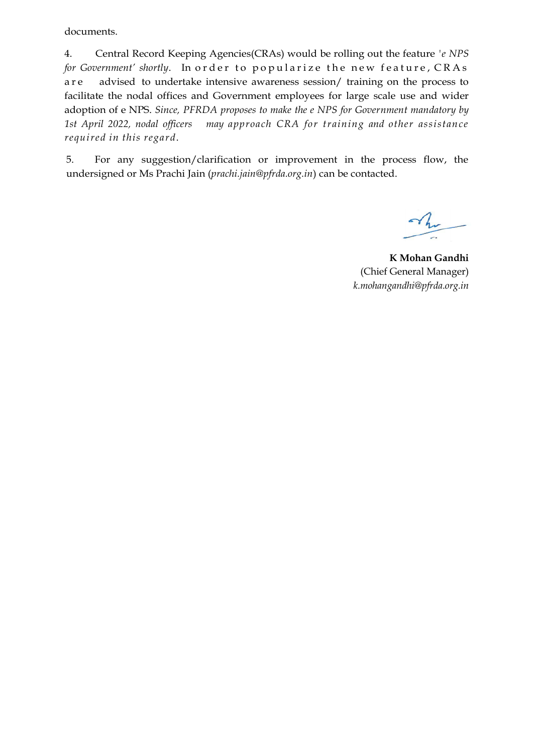documents.

4. Central Record Keeping Agencies(CRAs) would be rolling out the feature *'e NPS for Government' shortly*. In order to popularize the new feature, CRAs a r e advised to undertake intensive awareness session/ training on the process to facilitate the nodal offices and Government employees for large scale use and wider adoption of e NPS. *Since, PFRDA proposes to make the e NPS for Government mandatory by 1st April 2022, nodal officers may approach CRA for training and other assistance required in this regard*.

5. For any suggestion/clarification or improvement in the process flow, the undersigned or Ms Prachi Jain (*prachi.jain@pfrda.org.in*) can be contacted.

**K Mohan Gandhi** (Chief General Manager) *[k.mohangandhi@pfrda.org.in](mailto:k.mohangandhi@pfrda.org.in)*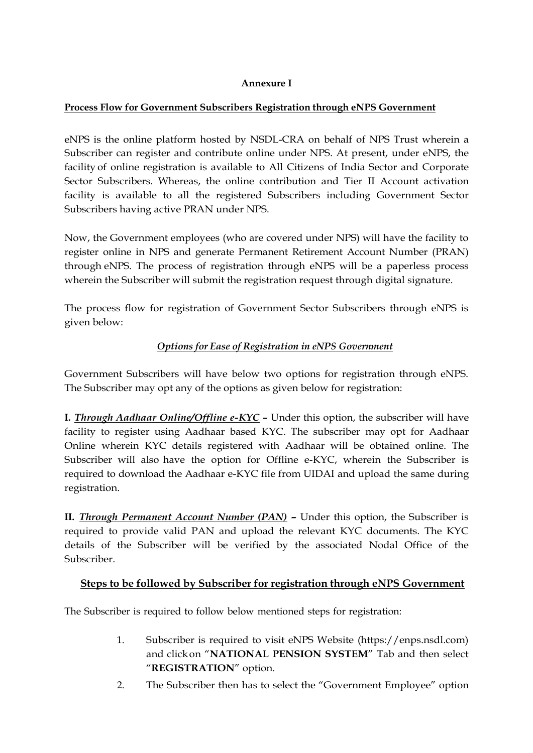# **Annexure I**

# **Process Flow for Government Subscribers Registration through eNPS Government**

eNPS is the online platform hosted by NSDL-CRA on behalf of NPS Trust wherein a Subscriber can register and contribute online under NPS. At present, under eNPS, the facility of online registration is available to All Citizens of India Sector and Corporate Sector Subscribers. Whereas, the online contribution and Tier II Account activation facility is available to all the registered Subscribers including Government Sector Subscribers having active PRAN under NPS.

Now, the Government employees (who are covered under NPS) will have the facility to register online in NPS and generate Permanent Retirement Account Number (PRAN) through eNPS. The process of registration through eNPS will be a paperless process wherein the Subscriber will submit the registration request through digital signature.

The process flow for registration of Government Sector Subscribers through eNPS is given below:

# *Options for Ease of Registration in eNPS Government*

Government Subscribers will have below two options for registration through eNPS. The Subscriber may opt any of the options as given below for registration:

**I.** *Through Aadhaar Online/Offline e-KYC –* Under this option, the subscriber will have facility to register using Aadhaar based KYC. The subscriber may opt for Aadhaar Online wherein KYC details registered with Aadhaar will be obtained online. The Subscriber will also have the option for Offline e-KYC, wherein the Subscriber is required to download the Aadhaar e-KYC file from UIDAI and upload the same during registration.

**II.** *Through Permanent Account Number (PAN) –* Under this option, the Subscriber is required to provide valid PAN and upload the relevant KYC documents. The KYC details of the Subscriber will be verified by the associated Nodal Office of the Subscriber.

### **Steps to be followed by Subscriber for registration through eNPS Government**

The Subscriber is required to follow below mentioned steps for registration:

- 1. Subscriber is required to visit eNPS Website (https://enps.nsdl.com) and clickon "**NATIONAL PENSION SYSTEM**" Tab and then select "**REGISTRATION**" option.
- 2. The Subscriber then has to select the "Government Employee" option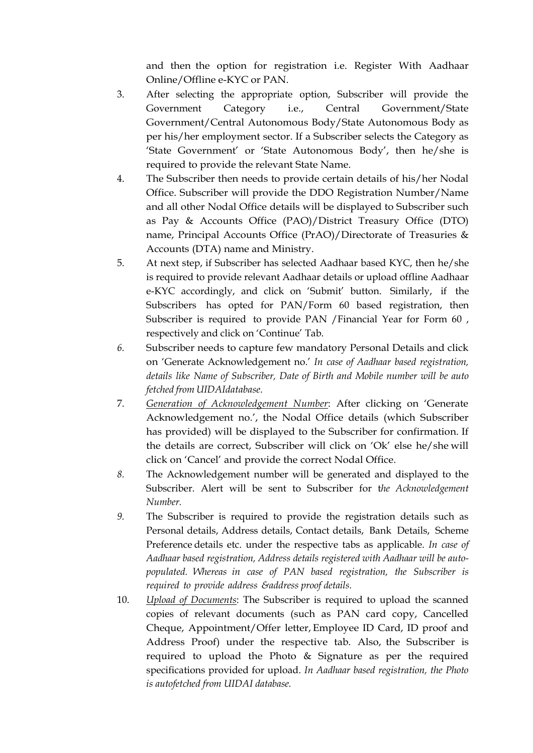and then the option for registration i.e. Register With Aadhaar Online/Offline e-KYC or PAN.

- 3. After selecting the appropriate option, Subscriber will provide the Government Category i.e., Central Government/State Government/Central Autonomous Body/State Autonomous Body as per his/her employment sector. If a Subscriber selects the Category as 'State Government' or 'State Autonomous Body', then he/she is required to provide the relevant State Name.
- 4. The Subscriber then needs to provide certain details of his/her Nodal Office. Subscriber will provide the DDO Registration Number/Name and all other Nodal Office details will be displayed to Subscriber such as Pay & Accounts Office (PAO)/District Treasury Office (DTO) name, Principal Accounts Office (PrAO)/Directorate of Treasuries & Accounts (DTA) name and Ministry.
- 5. At next step, if Subscriber has selected Aadhaar based KYC, then he/she is required to provide relevant Aadhaar details or upload offline Aadhaar e-KYC accordingly, and click on 'Submit' button. Similarly, if the Subscribers has opted for PAN/Form 60 based registration, then Subscriber is required to provide PAN /Financial Year for Form 60 , respectively and click on 'Continue' Tab.
- *6.* Subscriber needs to capture few mandatory Personal Details and click on 'Generate Acknowledgement no.' *In case of Aadhaar based registration, details like Name of Subscriber, Date of Birth and Mobile number will be auto fetched from UIDAIdatabase.*
- 7. *Generation of Acknowledgement Number*: After clicking on 'Generate Acknowledgement no.', the Nodal Office details (which Subscriber has provided) will be displayed to the Subscriber for confirmation. If the details are correct, Subscriber will click on 'Ok' else he/she will click on 'Cancel' and provide the correct Nodal Office.
- *8.* The Acknowledgement number will be generated and displayed to the Subscriber. Alert will be sent to Subscriber for t*he Acknowledgement Number.*
- *9.* The Subscriber is required to provide the registration details such as Personal details, Address details, Contact details, Bank Details, Scheme Preference details etc. under the respective tabs as applicable. *In case of Aadhaar based registration, Address details registered with Aadhaar will be autopopulated. Whereas in case of PAN based registration, the Subscriber is required to provide address &address proof details.*
- 10. *Upload of Documents*: The Subscriber is required to upload the scanned copies of relevant documents (such as PAN card copy, Cancelled Cheque, Appointment/Offer letter, Employee ID Card, ID proof and Address Proof) under the respective tab. Also, the Subscriber is required to upload the Photo & Signature as per the required specifications provided for upload. *In Aadhaar based registration, the Photo is autofetched from UIDAI database.*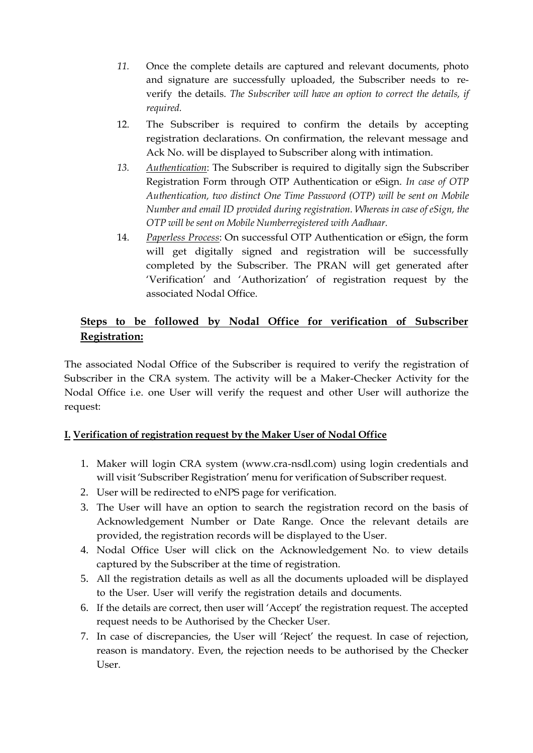- *11.* Once the complete details are captured and relevant documents, photo and signature are successfully uploaded, the Subscriber needs to reverify the details. *The Subscriber will have an option to correct the details, if required.*
- 12. The Subscriber is required to confirm the details by accepting registration declarations. On confirmation, the relevant message and Ack No. will be displayed to Subscriber along with intimation.
- *13. Authentication*: The Subscriber is required to digitally sign the Subscriber Registration Form through OTP Authentication or eSign. *In case of OTP Authentication, two distinct One Time Password (OTP) will be sent on Mobile Number and email ID provided during registration. Whereas in case of eSign, the OTP will be sent on Mobile Numberregistered with Aadhaar.*
- 14. *Paperless Process*: On successful OTP Authentication or eSign, the form will get digitally signed and registration will be successfully completed by the Subscriber. The PRAN will get generated after 'Verification' and 'Authorization' of registration request by the associated Nodal Office.

# **Steps to be followed by Nodal Office for verification of Subscriber Registration:**

The associated Nodal Office of the Subscriber is required to verify the registration of Subscriber in the CRA system. The activity will be a Maker-Checker Activity for the Nodal Office i.e. one User will verify the request and other User will authorize the request:

### **I. Verification of registration request by the Maker User of Nodal Office**

- 1. Maker will login CRA system (www.cra-nsdl.com) using login credentials and will visit 'Subscriber Registration' menu for verification of Subscriber request.
- 2. User will be redirected to eNPS page for verification.
- 3. The User will have an option to search the registration record on the basis of Acknowledgement Number or Date Range. Once the relevant details are provided, the registration records will be displayed to the User.
- 4. Nodal Office User will click on the Acknowledgement No. to view details captured by the Subscriber at the time of registration.
- 5. All the registration details as well as all the documents uploaded will be displayed to the User. User will verify the registration details and documents.
- 6. If the details are correct, then user will 'Accept' the registration request. The accepted request needs to be Authorised by the Checker User.
- 7. In case of discrepancies, the User will 'Reject' the request. In case of rejection, reason is mandatory. Even, the rejection needs to be authorised by the Checker User.